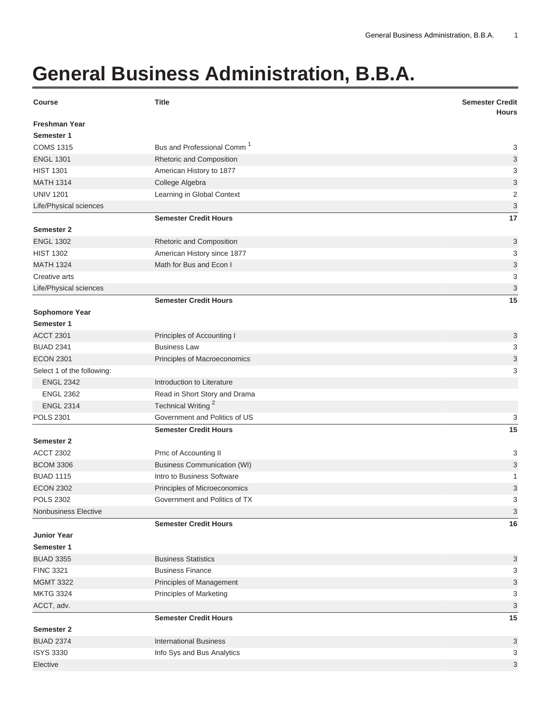## **General Business Administration, B.B.A.**

| <b>Course</b>              | <b>Title</b>                           | <b>Semester Credit</b><br><b>Hours</b> |
|----------------------------|----------------------------------------|----------------------------------------|
| <b>Freshman Year</b>       |                                        |                                        |
| Semester 1                 |                                        |                                        |
| <b>COMS 1315</b>           | Bus and Professional Comm <sup>1</sup> | 3                                      |
| <b>ENGL 1301</b>           | Rhetoric and Composition               | 3                                      |
| <b>HIST 1301</b>           | American History to 1877               | 3                                      |
| <b>MATH 1314</b>           | College Algebra                        | 3                                      |
| <b>UNIV 1201</b>           | Learning in Global Context             | $\mathbf 2$                            |
| Life/Physical sciences     |                                        | $\ensuremath{\mathsf{3}}$              |
|                            | <b>Semester Credit Hours</b>           | 17                                     |
| Semester 2                 |                                        |                                        |
| <b>ENGL 1302</b>           | Rhetoric and Composition               | 3                                      |
| <b>HIST 1302</b>           | American History since 1877            | 3                                      |
| <b>MATH 1324</b>           | Math for Bus and Econ I                | $\mathsf 3$                            |
| Creative arts              |                                        | 3                                      |
| Life/Physical sciences     |                                        | 3                                      |
|                            | <b>Semester Credit Hours</b>           | 15                                     |
| Sophomore Year             |                                        |                                        |
| Semester 1                 |                                        |                                        |
| <b>ACCT 2301</b>           | Principles of Accounting I             | 3                                      |
| <b>BUAD 2341</b>           | <b>Business Law</b>                    | 3                                      |
| <b>ECON 2301</b>           | Principles of Macroeconomics           | 3                                      |
| Select 1 of the following: |                                        | 3                                      |
| <b>ENGL 2342</b>           | Introduction to Literature             |                                        |
| <b>ENGL 2362</b>           | Read in Short Story and Drama          |                                        |
| <b>ENGL 2314</b>           | Technical Writing <sup>2</sup>         |                                        |
| <b>POLS 2301</b>           | Government and Politics of US          | 3                                      |
|                            | <b>Semester Credit Hours</b>           | 15                                     |
| Semester 2                 |                                        |                                        |
| <b>ACCT 2302</b>           | Prnc of Accounting II                  | 3                                      |
| <b>BCOM 3306</b>           | <b>Business Communication (WI)</b>     | 3                                      |
| <b>BUAD 1115</b>           | Intro to Business Software             | 1                                      |
| <b>ECON 2302</b>           | Principles of Microeconomics           | 3                                      |
| <b>POLS 2302</b>           | Government and Politics of TX          | 3                                      |
| Nonbusiness Elective       |                                        | 3                                      |
|                            | <b>Semester Credit Hours</b>           | 16                                     |
| <b>Junior Year</b>         |                                        |                                        |
| Semester 1                 |                                        |                                        |
| <b>BUAD 3355</b>           | <b>Business Statistics</b>             | 3                                      |
| <b>FINC 3321</b>           | <b>Business Finance</b>                | 3                                      |
| <b>MGMT 3322</b>           | Principles of Management               | 3                                      |
| <b>MKTG 3324</b>           | <b>Principles of Marketing</b>         | 3                                      |
| ACCT, adv.                 |                                        | 3                                      |
|                            | <b>Semester Credit Hours</b>           | 15                                     |
| <b>Semester 2</b>          |                                        |                                        |
| <b>BUAD 2374</b>           | <b>International Business</b>          | 3                                      |
| <b>ISYS 3330</b>           | Info Sys and Bus Analytics             | 3                                      |
| Elective                   |                                        | 3                                      |